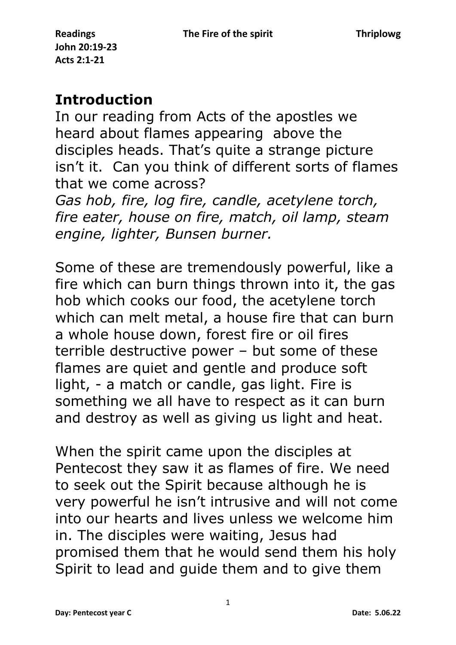## **Introduction**

In our reading from Acts of the apostles we heard about flames appearing above the disciples heads. That's quite a strange picture isn't it. Can you think of different sorts of flames that we come across?

*Gas hob, fire, log fire, candle, acetylene torch, fire eater, house on fire, match, oil lamp, steam engine, lighter, Bunsen burner.*

Some of these are tremendously powerful, like a fire which can burn things thrown into it, the gas hob which cooks our food, the acetylene torch which can melt metal, a house fire that can burn a whole house down, forest fire or oil fires terrible destructive power – but some of these flames are quiet and gentle and produce soft light, - a match or candle, gas light. Fire is something we all have to respect as it can burn and destroy as well as giving us light and heat.

When the spirit came upon the disciples at Pentecost they saw it as flames of fire. We need to seek out the Spirit because although he is very powerful he isn't intrusive and will not come into our hearts and lives unless we welcome him in. The disciples were waiting, Jesus had promised them that he would send them his holy Spirit to lead and guide them and to give them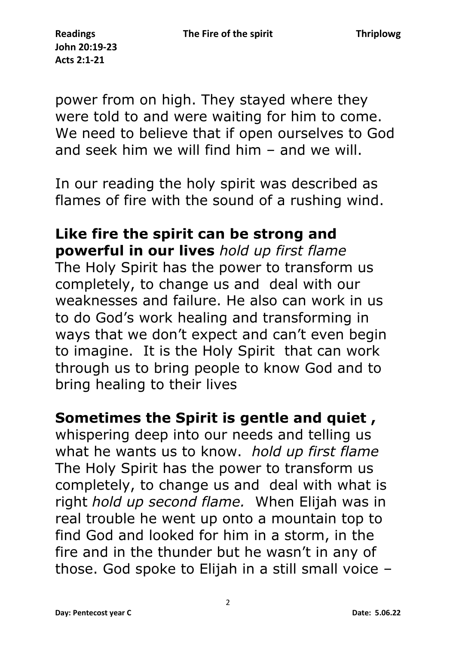power from on high. They stayed where they were told to and were waiting for him to come. We need to believe that if open ourselves to God and seek him we will find him – and we will.

In our reading the holy spirit was described as flames of fire with the sound of a rushing wind.

## **Like fire the spirit can be strong and powerful in our lives** *hold up first flame*

The Holy Spirit has the power to transform us completely, to change us and deal with our weaknesses and failure. He also can work in us to do God's work healing and transforming in ways that we don't expect and can't even begin to imagine. It is the Holy Spirit that can work through us to bring people to know God and to bring healing to their lives

## **Sometimes the Spirit is gentle and quiet ,**

whispering deep into our needs and telling us what he wants us to know. *hold up first flame* The Holy Spirit has the power to transform us completely, to change us and deal with what is right *hold up second flame.* When Elijah was in real trouble he went up onto a mountain top to find God and looked for him in a storm, in the fire and in the thunder but he wasn't in any of those. God spoke to Elijah in a still small voice –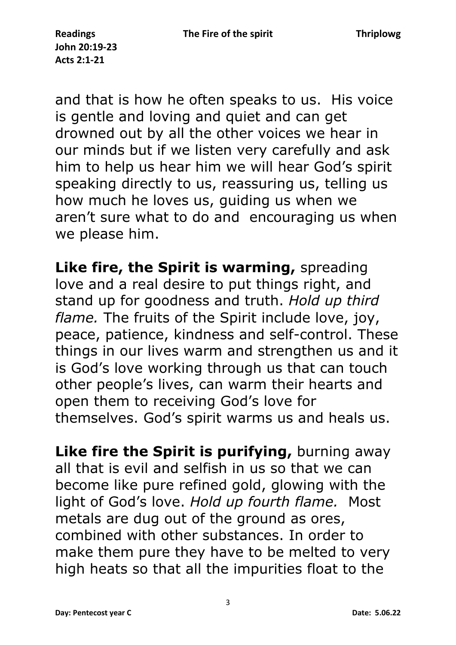and that is how he often speaks to us. His voice is gentle and loving and quiet and can get drowned out by all the other voices we hear in our minds but if we listen very carefully and ask him to help us hear him we will hear God's spirit speaking directly to us, reassuring us, telling us how much he loves us, guiding us when we aren't sure what to do and encouraging us when we please him.

**Like fire, the Spirit is warming,** spreading love and a real desire to put things right, and stand up for goodness and truth. *Hold up third flame.* The fruits of the Spirit include love, joy, peace, patience, kindness and self-control. These things in our lives warm and strengthen us and it is God's love working through us that can touch other people's lives, can warm their hearts and open them to receiving God's love for themselves. God's spirit warms us and heals us.

**Like fire the Spirit is purifying, burning away** all that is evil and selfish in us so that we can become like pure refined gold, glowing with the light of God's love. *Hold up fourth flame.* Most metals are dug out of the ground as ores, combined with other substances. In order to make them pure they have to be melted to very high heats so that all the impurities float to the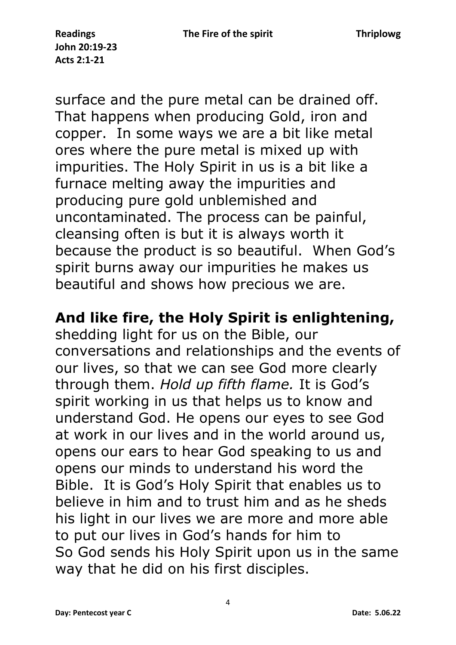surface and the pure metal can be drained off. That happens when producing Gold, iron and copper. In some ways we are a bit like metal ores where the pure metal is mixed up with impurities. The Holy Spirit in us is a bit like a furnace melting away the impurities and producing pure gold unblemished and uncontaminated. The process can be painful, cleansing often is but it is always worth it because the product is so beautiful. When God's spirit burns away our impurities he makes us beautiful and shows how precious we are.

## **And like fire, the Holy Spirit is enlightening,**

shedding light for us on the Bible, our conversations and relationships and the events of our lives, so that we can see God more clearly through them. *Hold up fifth flame.* It is God's spirit working in us that helps us to know and understand God. He opens our eyes to see God at work in our lives and in the world around us, opens our ears to hear God speaking to us and opens our minds to understand his word the Bible. It is God's Holy Spirit that enables us to believe in him and to trust him and as he sheds his light in our lives we are more and more able to put our lives in God's hands for him to So God sends his Holy Spirit upon us in the same way that he did on his first disciples.